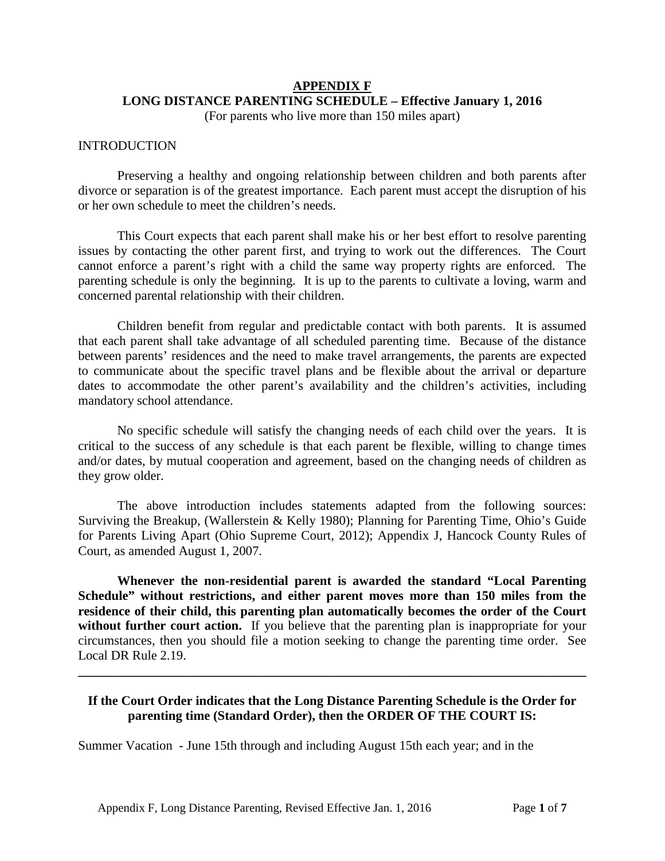# **APPENDIX F LONG DISTANCE PARENTING SCHEDULE – Effective January 1, 2016**

(For parents who live more than 150 miles apart)

#### INTRODUCTION

Preserving a healthy and ongoing relationship between children and both parents after divorce or separation is of the greatest importance. Each parent must accept the disruption of his or her own schedule to meet the children's needs.

This Court expects that each parent shall make his or her best effort to resolve parenting issues by contacting the other parent first, and trying to work out the differences. The Court cannot enforce a parent's right with a child the same way property rights are enforced. The parenting schedule is only the beginning. It is up to the parents to cultivate a loving, warm and concerned parental relationship with their children.

Children benefit from regular and predictable contact with both parents. It is assumed that each parent shall take advantage of all scheduled parenting time. Because of the distance between parents' residences and the need to make travel arrangements, the parents are expected to communicate about the specific travel plans and be flexible about the arrival or departure dates to accommodate the other parent's availability and the children's activities, including mandatory school attendance.

No specific schedule will satisfy the changing needs of each child over the years. It is critical to the success of any schedule is that each parent be flexible, willing to change times and/or dates, by mutual cooperation and agreement, based on the changing needs of children as they grow older.

The above introduction includes statements adapted from the following sources: Surviving the Breakup, (Wallerstein & Kelly 1980); Planning for Parenting Time, Ohio's Guide for Parents Living Apart (Ohio Supreme Court, 2012); Appendix J, Hancock County Rules of Court, as amended August 1, 2007.

**Whenever the non-residential parent is awarded the standard "Local Parenting Schedule" without restrictions, and either parent moves more than 150 miles from the residence of their child, this parenting plan automatically becomes the order of the Court**  without further court action. If you believe that the parenting plan is inappropriate for your circumstances, then you should file a motion seeking to change the parenting time order. See Local DR Rule 2.19.

## **If the Court Order indicates that the Long Distance Parenting Schedule is the Order for parenting time (Standard Order), then the ORDER OF THE COURT IS:**

**\_\_\_\_\_\_\_\_\_\_\_\_\_\_\_\_\_\_\_\_\_\_\_\_\_\_\_\_\_\_\_\_\_\_\_\_\_\_\_\_\_\_\_\_\_\_\_\_\_\_\_\_\_\_\_\_\_\_\_\_\_\_\_\_\_\_\_\_\_\_\_\_\_\_\_\_\_\_**

Summer Vacation - June 15th through and including August 15th each year; and in the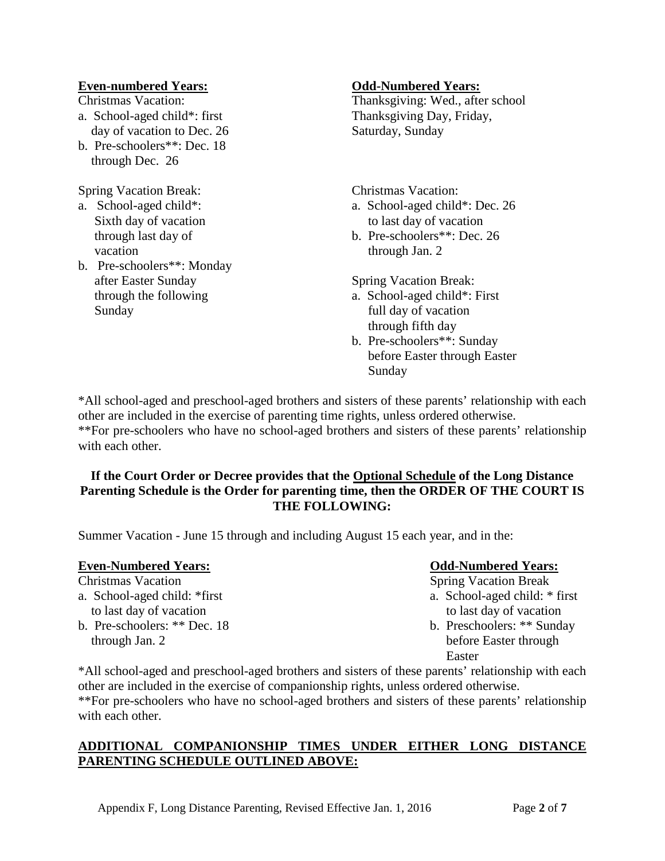#### **Even-numbered Years: Odd-Numbered Years:**

- day of vacation to Dec. 26 Saturday, Sunday
- b. Pre-schoolers\*\*: Dec. 18 through Dec. 26

Spring Vacation Break: Christmas Vacation:

- vacation through Jan. 2
- b. Pre-schoolers\*\*: Monday after Easter Sunday Spring Vacation Break: Sunday full day of vacation

Christmas Vacation: Thanksgiving: Wed., after school a. School-aged child\*: first Thanksgiving Day, Friday,

- a. School-aged child\*:  $a.$  School-aged child\*: Dec. 26 Sixth day of vacation to last day of vacation
	- through last day of b. Pre-schoolers\*\*: Dec. 26

- through the following a. School-aged child\*: First through fifth day
	- b. Pre-schoolers\*\*: Sunday before Easter through Easter Sunday

\*All school-aged and preschool-aged brothers and sisters of these parents' relationship with each other are included in the exercise of parenting time rights, unless ordered otherwise. \*\*For pre-schoolers who have no school-aged brothers and sisters of these parents' relationship with each other.

#### **If the Court Order or Decree provides that the Optional Schedule of the Long Distance Parenting Schedule is the Order for parenting time, then the ORDER OF THE COURT IS THE FOLLOWING:**

Summer Vacation - June 15 through and including August 15 each year, and in the:

| <b>Even-Numbered Years:</b>  | <b>Odd-Numbered Years:</b>    |
|------------------------------|-------------------------------|
| <b>Christmas Vacation</b>    | <b>Spring Vacation Break</b>  |
| a. School-aged child: *first | a. School-aged child: * first |
| to last day of vacation      | to last day of vacation       |
| b. Pre-schoolers: ** Dec. 18 | b. Preschoolers: ** Sunday    |
| through Jan. 2               | before Easter through         |
|                              | Easter                        |

\*All school-aged and preschool-aged brothers and sisters of these parents' relationship with each other are included in the exercise of companionship rights, unless ordered otherwise. \*\*For pre-schoolers who have no school-aged brothers and sisters of these parents' relationship with each other.

## **ADDITIONAL COMPANIONSHIP TIMES UNDER EITHER LONG DISTANCE PARENTING SCHEDULE OUTLINED ABOVE:**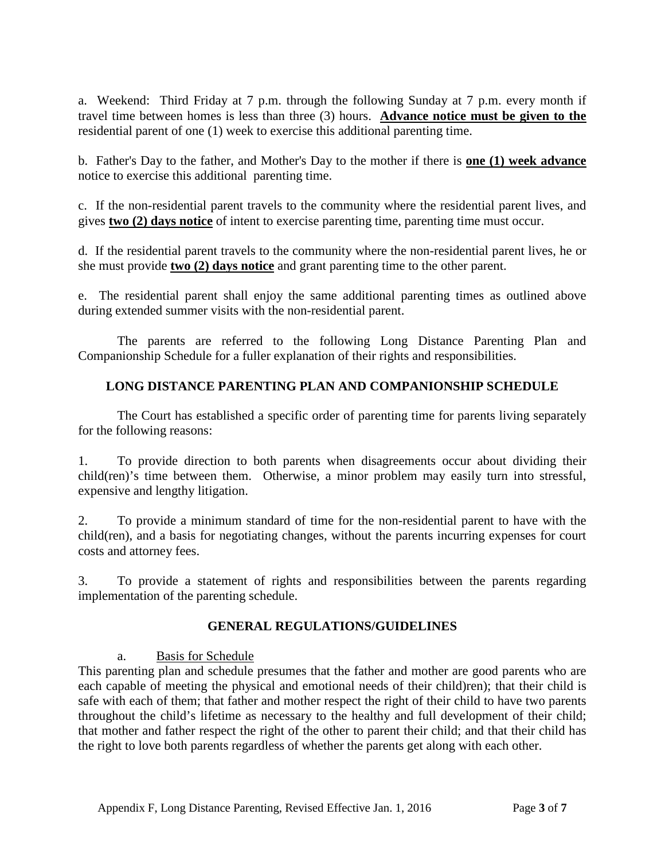a. Weekend: Third Friday at 7 p.m. through the following Sunday at 7 p.m. every month if travel time between homes is less than three (3) hours. **Advance notice must be given to the** residential parent of one (1) week to exercise this additional parenting time.

b. Father's Day to the father, and Mother's Day to the mother if there is **one (1) week advance** notice to exercise this additional parenting time.

c. If the non-residential parent travels to the community where the residential parent lives, and gives **two (2) days notice** of intent to exercise parenting time, parenting time must occur.

d. If the residential parent travels to the community where the non-residential parent lives, he or she must provide **two (2) days notice** and grant parenting time to the other parent.

e. The residential parent shall enjoy the same additional parenting times as outlined above during extended summer visits with the non-residential parent.

The parents are referred to the following Long Distance Parenting Plan and Companionship Schedule for a fuller explanation of their rights and responsibilities.

## **LONG DISTANCE PARENTING PLAN AND COMPANIONSHIP SCHEDULE**

The Court has established a specific order of parenting time for parents living separately for the following reasons:

1. To provide direction to both parents when disagreements occur about dividing their child(ren)'s time between them. Otherwise, a minor problem may easily turn into stressful, expensive and lengthy litigation.

2. To provide a minimum standard of time for the non-residential parent to have with the child(ren), and a basis for negotiating changes, without the parents incurring expenses for court costs and attorney fees.

3. To provide a statement of rights and responsibilities between the parents regarding implementation of the parenting schedule.

## **GENERAL REGULATIONS/GUIDELINES**

a. Basis for Schedule

This parenting plan and schedule presumes that the father and mother are good parents who are each capable of meeting the physical and emotional needs of their child)ren); that their child is safe with each of them; that father and mother respect the right of their child to have two parents throughout the child's lifetime as necessary to the healthy and full development of their child; that mother and father respect the right of the other to parent their child; and that their child has the right to love both parents regardless of whether the parents get along with each other.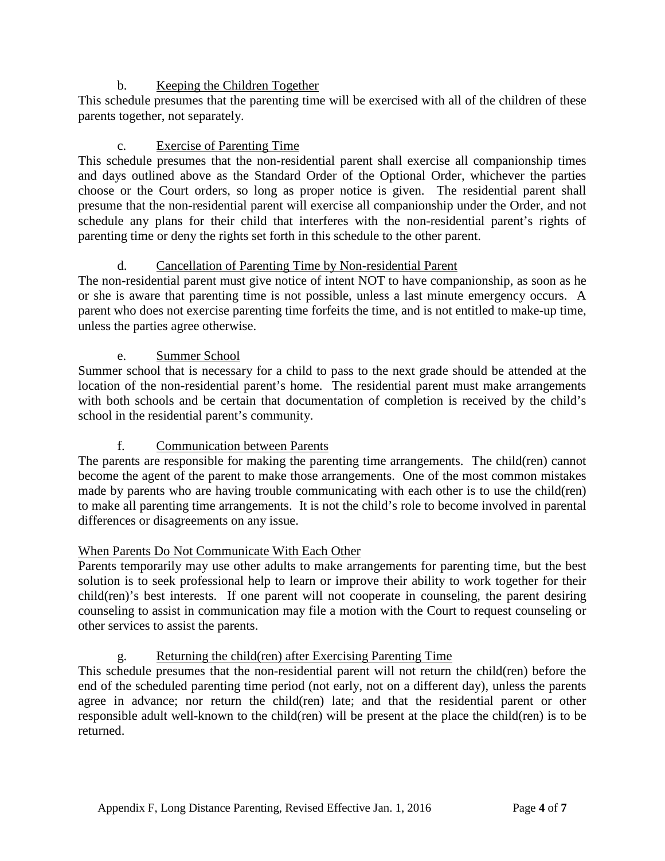## b. Keeping the Children Together

This schedule presumes that the parenting time will be exercised with all of the children of these parents together, not separately.

## c. Exercise of Parenting Time

This schedule presumes that the non-residential parent shall exercise all companionship times and days outlined above as the Standard Order of the Optional Order, whichever the parties choose or the Court orders, so long as proper notice is given. The residential parent shall presume that the non-residential parent will exercise all companionship under the Order, and not schedule any plans for their child that interferes with the non-residential parent's rights of parenting time or deny the rights set forth in this schedule to the other parent.

## d. Cancellation of Parenting Time by Non-residential Parent

The non-residential parent must give notice of intent NOT to have companionship, as soon as he or she is aware that parenting time is not possible, unless a last minute emergency occurs. A parent who does not exercise parenting time forfeits the time, and is not entitled to make-up time, unless the parties agree otherwise.

## e. Summer School

Summer school that is necessary for a child to pass to the next grade should be attended at the location of the non-residential parent's home. The residential parent must make arrangements with both schools and be certain that documentation of completion is received by the child's school in the residential parent's community.

# f. Communication between Parents

The parents are responsible for making the parenting time arrangements. The child(ren) cannot become the agent of the parent to make those arrangements. One of the most common mistakes made by parents who are having trouble communicating with each other is to use the child(ren) to make all parenting time arrangements. It is not the child's role to become involved in parental differences or disagreements on any issue.

## When Parents Do Not Communicate With Each Other

Parents temporarily may use other adults to make arrangements for parenting time, but the best solution is to seek professional help to learn or improve their ability to work together for their child(ren)'s best interests. If one parent will not cooperate in counseling, the parent desiring counseling to assist in communication may file a motion with the Court to request counseling or other services to assist the parents.

## g. Returning the child(ren) after Exercising Parenting Time

This schedule presumes that the non-residential parent will not return the child(ren) before the end of the scheduled parenting time period (not early, not on a different day), unless the parents agree in advance; nor return the child(ren) late; and that the residential parent or other responsible adult well-known to the child(ren) will be present at the place the child(ren) is to be returned.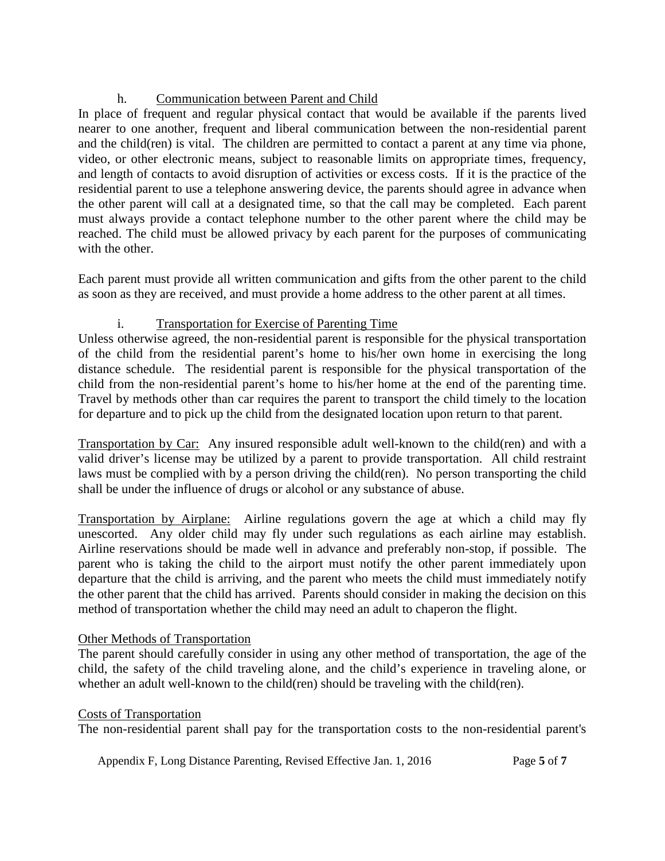# h. Communication between Parent and Child

In place of frequent and regular physical contact that would be available if the parents lived nearer to one another, frequent and liberal communication between the non-residential parent and the child(ren) is vital. The children are permitted to contact a parent at any time via phone, video, or other electronic means, subject to reasonable limits on appropriate times, frequency, and length of contacts to avoid disruption of activities or excess costs. If it is the practice of the residential parent to use a telephone answering device, the parents should agree in advance when the other parent will call at a designated time, so that the call may be completed. Each parent must always provide a contact telephone number to the other parent where the child may be reached. The child must be allowed privacy by each parent for the purposes of communicating with the other.

Each parent must provide all written communication and gifts from the other parent to the child as soon as they are received, and must provide a home address to the other parent at all times.

## i. Transportation for Exercise of Parenting Time

Unless otherwise agreed, the non-residential parent is responsible for the physical transportation of the child from the residential parent's home to his/her own home in exercising the long distance schedule. The residential parent is responsible for the physical transportation of the child from the non-residential parent's home to his/her home at the end of the parenting time. Travel by methods other than car requires the parent to transport the child timely to the location for departure and to pick up the child from the designated location upon return to that parent.

Transportation by Car: Any insured responsible adult well-known to the child(ren) and with a valid driver's license may be utilized by a parent to provide transportation. All child restraint laws must be complied with by a person driving the child(ren). No person transporting the child shall be under the influence of drugs or alcohol or any substance of abuse.

Transportation by Airplane: Airline regulations govern the age at which a child may fly unescorted. Any older child may fly under such regulations as each airline may establish. Airline reservations should be made well in advance and preferably non-stop, if possible. The parent who is taking the child to the airport must notify the other parent immediately upon departure that the child is arriving, and the parent who meets the child must immediately notify the other parent that the child has arrived. Parents should consider in making the decision on this method of transportation whether the child may need an adult to chaperon the flight.

## Other Methods of Transportation

The parent should carefully consider in using any other method of transportation, the age of the child, the safety of the child traveling alone, and the child's experience in traveling alone, or whether an adult well-known to the child(ren) should be traveling with the child(ren).

## Costs of Transportation

The non-residential parent shall pay for the transportation costs to the non-residential parent's

Appendix F, Long Distance Parenting, Revised Effective Jan. 1, 2016 Page 5 of 7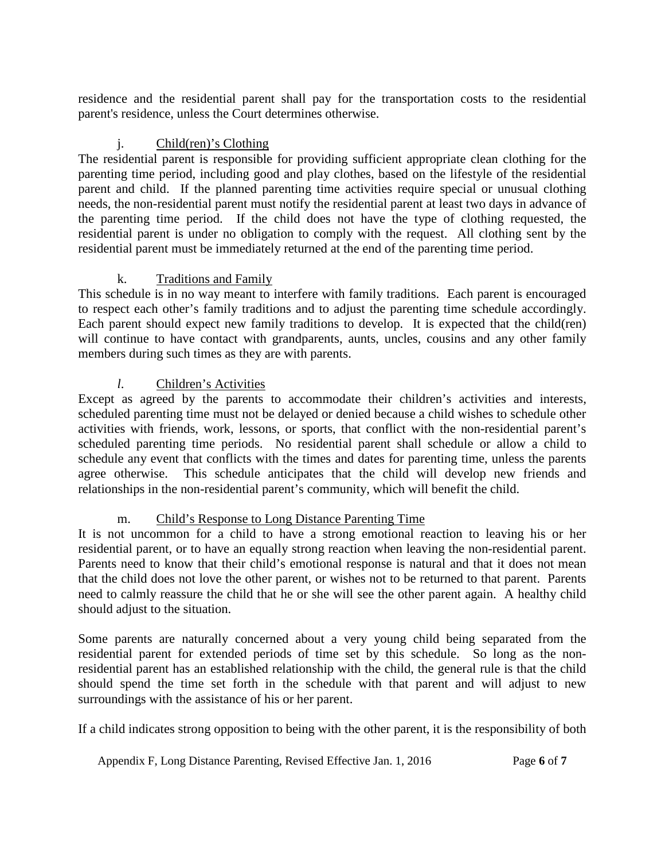residence and the residential parent shall pay for the transportation costs to the residential parent's residence, unless the Court determines otherwise.

## j. Child(ren)'s Clothing

The residential parent is responsible for providing sufficient appropriate clean clothing for the parenting time period, including good and play clothes, based on the lifestyle of the residential parent and child. If the planned parenting time activities require special or unusual clothing needs, the non-residential parent must notify the residential parent at least two days in advance of the parenting time period. If the child does not have the type of clothing requested, the residential parent is under no obligation to comply with the request. All clothing sent by the residential parent must be immediately returned at the end of the parenting time period.

## k. Traditions and Family

This schedule is in no way meant to interfere with family traditions. Each parent is encouraged to respect each other's family traditions and to adjust the parenting time schedule accordingly. Each parent should expect new family traditions to develop. It is expected that the child(ren) will continue to have contact with grandparents, aunts, uncles, cousins and any other family members during such times as they are with parents.

## *l*. Children's Activities

Except as agreed by the parents to accommodate their children's activities and interests, scheduled parenting time must not be delayed or denied because a child wishes to schedule other activities with friends, work, lessons, or sports, that conflict with the non-residential parent's scheduled parenting time periods. No residential parent shall schedule or allow a child to schedule any event that conflicts with the times and dates for parenting time, unless the parents agree otherwise. This schedule anticipates that the child will develop new friends and relationships in the non-residential parent's community, which will benefit the child.

## m. Child's Response to Long Distance Parenting Time

It is not uncommon for a child to have a strong emotional reaction to leaving his or her residential parent, or to have an equally strong reaction when leaving the non-residential parent. Parents need to know that their child's emotional response is natural and that it does not mean that the child does not love the other parent, or wishes not to be returned to that parent. Parents need to calmly reassure the child that he or she will see the other parent again. A healthy child should adjust to the situation.

Some parents are naturally concerned about a very young child being separated from the residential parent for extended periods of time set by this schedule. So long as the nonresidential parent has an established relationship with the child, the general rule is that the child should spend the time set forth in the schedule with that parent and will adjust to new surroundings with the assistance of his or her parent.

If a child indicates strong opposition to being with the other parent, it is the responsibility of both

Appendix F, Long Distance Parenting, Revised Effective Jan. 1, 2016 Page 6 of 7